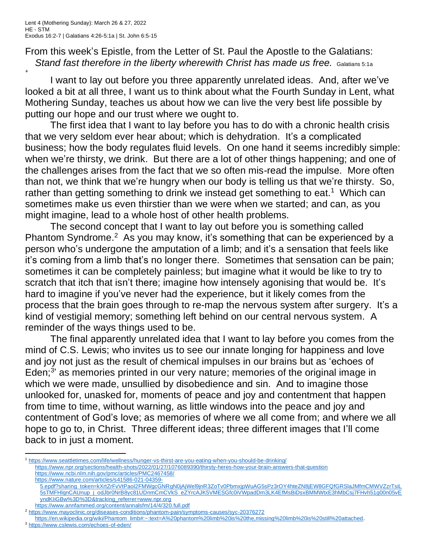From this week's Epistle, from the Letter of St. Paul the Apostle to the Galatians: *Stand fast therefore in the liberty wherewith Christ has made us free.* Galatians 5:1a

+

I want to lay out before you three apparently unrelated ideas. And, after we've looked a bit at all three, I want us to think about what the Fourth Sunday in Lent, what Mothering Sunday, teaches us about how we can live the very best life possible by putting our hope and our trust where we ought to.

The first idea that I want to lay before you has to do with a chronic health crisis that we very seldom ever hear about; which is dehydration. It's a complicated business; how the body regulates fluid levels. On one hand it seems incredibly simple: when we're thirsty, we drink. But there are a lot of other things happening; and one of the challenges arises from the fact that we so often mis-read the impulse. More often than not, we think that we're hungry when our body is telling us that we're thirsty. So, rather than getting something to drink we instead get something to eat.<sup>1</sup> Which can sometimes make us even thirstier than we were when we started; and can, as you might imagine, lead to a whole host of other health problems.

The second concept that I want to lay out before you is something called Phantom Syndrome.<sup>2</sup> As you may know, it's something that can be experienced by a person who's undergone the amputation of a limb; and it's a sensation that feels like it's coming from a limb that's no longer there. Sometimes that sensation can be pain; sometimes it can be completely painless; but imagine what it would be like to try to scratch that itch that isn't there; imagine how intensely agonising that would be. It's hard to imagine if you've never had the experience, but it likely comes from the process that the brain goes through to re-map the nervous system after surgery. It's a kind of vestigial memory; something left behind on our central nervous system. A reminder of the ways things used to be.

The final apparently unrelated idea that I want to lay before you comes from the mind of C.S. Lewis; who invites us to see our innate longing for happiness and love and joy not just as the result of chemical impulses in our brains but as 'echoes of Eden;<sup>3</sup> as memories printed in our very nature; memories of the original image in which we were made, unsullied by disobedience and sin. And to imagine those unlooked for, unasked for, moments of peace and joy and contentment that happen from time to time, without warning, as little windows into the peace and joy and contentment of God's love; as memories of where we all come from; and where we all hope to go to, in Christ. Three different ideas; three different images that I'll come back to in just a moment.

<sup>1</sup> <https://www.seattletimes.com/life/wellness/hunger-vs-thirst-are-you-eating-when-you-should-be-drinking/>

<https://www.npr.org/sections/health-shots/2022/01/27/1076089390/thirsty-heres-how-your-brain-answers-that-question>

<https://www.ncbi.nlm.nih.gov/pmc/articles/PMC2467458/>

[https://www.nature.com/articles/s41586-021-04359-](https://www.nature.com/articles/s41586-021-04359-5.epdf?sharing_token=kXrtZrFvVtPaoI2FMWgcGNRgN0jAjWel9jnR3ZoTv0PbmxjpWuAG5sPz3rOY4hteZN8jEW8GFQfGRSlaJMfmCMWVZzrTsiL5sTMFHlqnCAUnup_j_odJbr0NrB8yc81UDnmCmCVkS_eZYrcAJK5VMESGfc0iVWpadDm3LK4EfMsBiDsxBMMWtxE3hMbCsj7FHvh51g00n05vEyndKIiGBw%3D%3D&tracking_referrer=www.npr.org)

[<sup>5.</sup>epdf?sharing\\_token=kXrtZrFvVtPaoI2FMWgcGNRgN0jAjWel9jnR3ZoTv0PbmxjpWuAG5sPz3rOY4hteZN8jEW8GFQfGRSlaJMfmCMWVZzrTsiL](https://www.nature.com/articles/s41586-021-04359-5.epdf?sharing_token=kXrtZrFvVtPaoI2FMWgcGNRgN0jAjWel9jnR3ZoTv0PbmxjpWuAG5sPz3rOY4hteZN8jEW8GFQfGRSlaJMfmCMWVZzrTsiL5sTMFHlqnCAUnup_j_odJbr0NrB8yc81UDnmCmCVkS_eZYrcAJK5VMESGfc0iVWpadDm3LK4EfMsBiDsxBMMWtxE3hMbCsj7FHvh51g00n05vEyndKIiGBw%3D%3D&tracking_referrer=www.npr.org) [5sTMFHlqnCAUnup\\_j\\_odJbr0NrB8yc81UDnmCmCVkS\\_eZYrcAJK5VMESGfc0iVWpadDm3LK4EfMsBiDsxBMMWtxE3hMbCsj7FHvh51g00n05vE](https://www.nature.com/articles/s41586-021-04359-5.epdf?sharing_token=kXrtZrFvVtPaoI2FMWgcGNRgN0jAjWel9jnR3ZoTv0PbmxjpWuAG5sPz3rOY4hteZN8jEW8GFQfGRSlaJMfmCMWVZzrTsiL5sTMFHlqnCAUnup_j_odJbr0NrB8yc81UDnmCmCVkS_eZYrcAJK5VMESGfc0iVWpadDm3LK4EfMsBiDsxBMMWtxE3hMbCsj7FHvh51g00n05vEyndKIiGBw%3D%3D&tracking_referrer=www.npr.org) [yndKIiGBw%3D%3D&tracking\\_referrer=www.npr.org](https://www.nature.com/articles/s41586-021-04359-5.epdf?sharing_token=kXrtZrFvVtPaoI2FMWgcGNRgN0jAjWel9jnR3ZoTv0PbmxjpWuAG5sPz3rOY4hteZN8jEW8GFQfGRSlaJMfmCMWVZzrTsiL5sTMFHlqnCAUnup_j_odJbr0NrB8yc81UDnmCmCVkS_eZYrcAJK5VMESGfc0iVWpadDm3LK4EfMsBiDsxBMMWtxE3hMbCsj7FHvh51g00n05vEyndKIiGBw%3D%3D&tracking_referrer=www.npr.org) <https://www.annfammed.org/content/annalsfm/14/4/320.full.pdf>

<sup>&</sup>lt;sup>2</sup> <https://www.mayoclinic.org/diseases-conditions/phantom-pain/symptoms-causes/syc-20376272>

[https://en.wikipedia.org/wiki/Phantom\\_limb#:~:text=A%20phantom%20limb%20is%20the,missing%20limb%20is%20still%20attached.](https://en.wikipedia.org/wiki/Phantom_limb#:~:text=A%20phantom%20limb%20is%20the,missing%20limb%20is%20still%20attached) <sup>3</sup> <https://www.cslewis.com/echoes-of-eden/>